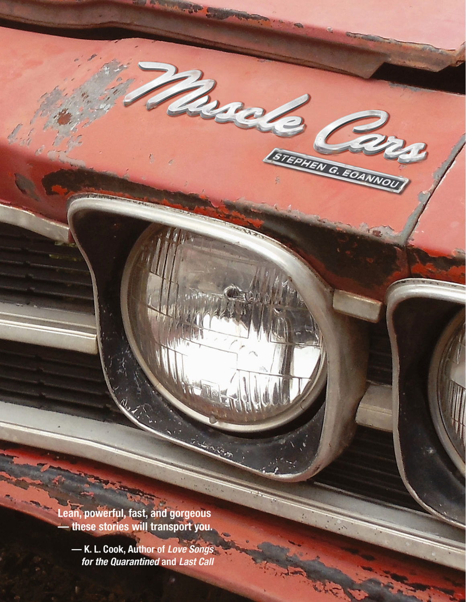Lean, powerful, fast, and gorgeous<br>— these stories will transport you.

 $\vec{v}$ .

-K. L. Cook, Author of Love Songs<br>for the Quarantined and Last Call

**AND MONTHS &** 

 $Z_{\lambda}$ 

RD